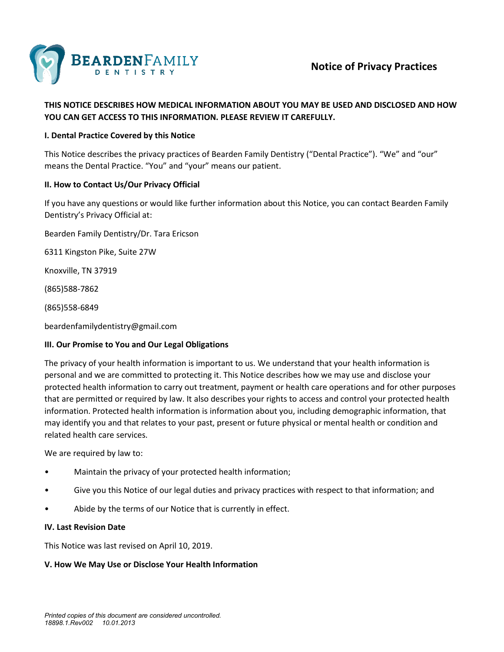

# **Notice of Privacy Practices**

# **THIS NOTICE DESCRIBES HOW MEDICAL INFORMATION ABOUT YOU MAY BE USED AND DISCLOSED AND HOW YOU CAN GET ACCESS TO THIS INFORMATION. PLEASE REVIEW IT CAREFULLY.**

#### **I. Dental Practice Covered by this Notice**

This Notice describes the privacy practices of Bearden Family Dentistry ("Dental Practice"). "We" and "our" means the Dental Practice. "You" and "your" means our patient.

### **II. How to Contact Us/Our Privacy Official**

If you have any questions or would like further information about this Notice, you can contact Bearden Family Dentistry's Privacy Official at:

Bearden Family Dentistry/Dr. Tara Ericson

6311 Kingston Pike, Suite 27W

Knoxville, TN 37919

(865)588-7862

(865)558-6849

beardenfamilydentistry@gmail.com

#### **III. Our Promise to You and Our Legal Obligations**

The privacy of your health information is important to us. We understand that your health information is personal and we are committed to protecting it. This Notice describes how we may use and disclose your protected health information to carry out treatment, payment or health care operations and for other purposes that are permitted or required by law. It also describes your rights to access and control your protected health information. Protected health information is information about you, including demographic information, that may identify you and that relates to your past, present or future physical or mental health or condition and related health care services.

We are required by law to:

- Maintain the privacy of your protected health information;
- Give you this Notice of our legal duties and privacy practices with respect to that information; and
- Abide by the terms of our Notice that is currently in effect.

#### **IV. Last Revision Date**

This Notice was last revised on April 10, 2019.

#### **V. How We May Use or Disclose Your Health Information**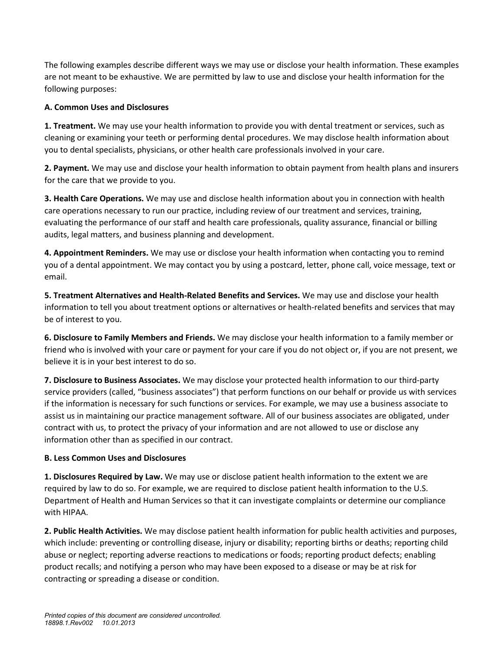The following examples describe different ways we may use or disclose your health information. These examples are not meant to be exhaustive. We are permitted by law to use and disclose your health information for the following purposes:

### **A. Common Uses and Disclosures**

**1. Treatment.** We may use your health information to provide you with dental treatment or services, such as cleaning or examining your teeth or performing dental procedures. We may disclose health information about you to dental specialists, physicians, or other health care professionals involved in your care.

**2. Payment.** We may use and disclose your health information to obtain payment from health plans and insurers for the care that we provide to you.

**3. Health Care Operations.** We may use and disclose health information about you in connection with health care operations necessary to run our practice, including review of our treatment and services, training, evaluating the performance of our staff and health care professionals, quality assurance, financial or billing audits, legal matters, and business planning and development.

**4. Appointment Reminders.** We may use or disclose your health information when contacting you to remind you of a dental appointment. We may contact you by using a postcard, letter, phone call, voice message, text or email.

**5. Treatment Alternatives and Health-Related Benefits and Services.** We may use and disclose your health information to tell you about treatment options or alternatives or health-related benefits and services that may be of interest to you.

**6. Disclosure to Family Members and Friends.** We may disclose your health information to a family member or friend who is involved with your care or payment for your care if you do not object or, if you are not present, we believe it is in your best interest to do so.

**7. Disclosure to Business Associates.** We may disclose your protected health information to our third-party service providers (called, "business associates") that perform functions on our behalf or provide us with services if the information is necessary for such functions or services. For example, we may use a business associate to assist us in maintaining our practice management software. All of our business associates are obligated, under contract with us, to protect the privacy of your information and are not allowed to use or disclose any information other than as specified in our contract.

### **B. Less Common Uses and Disclosures**

**1. Disclosures Required by Law.** We may use or disclose patient health information to the extent we are required by law to do so. For example, we are required to disclose patient health information to the U.S. Department of Health and Human Services so that it can investigate complaints or determine our compliance with HIPAA.

**2. Public Health Activities.** We may disclose patient health information for public health activities and purposes, which include: preventing or controlling disease, injury or disability; reporting births or deaths; reporting child abuse or neglect; reporting adverse reactions to medications or foods; reporting product defects; enabling product recalls; and notifying a person who may have been exposed to a disease or may be at risk for contracting or spreading a disease or condition.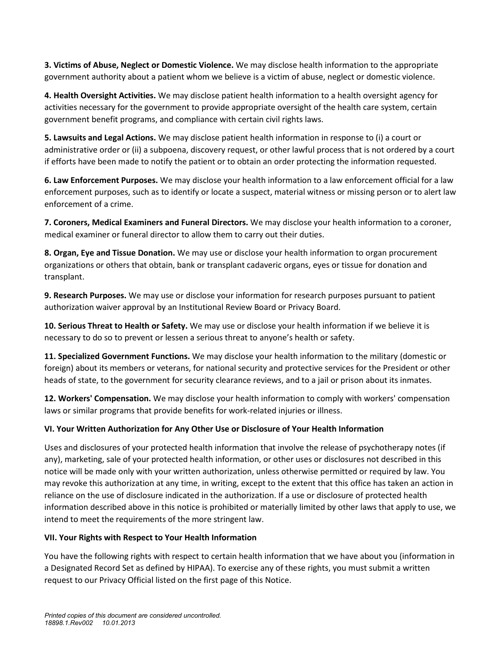**3. Victims of Abuse, Neglect or Domestic Violence.** We may disclose health information to the appropriate government authority about a patient whom we believe is a victim of abuse, neglect or domestic violence.

**4. Health Oversight Activities.** We may disclose patient health information to a health oversight agency for activities necessary for the government to provide appropriate oversight of the health care system, certain government benefit programs, and compliance with certain civil rights laws.

**5. Lawsuits and Legal Actions.** We may disclose patient health information in response to (i) a court or administrative order or (ii) a subpoena, discovery request, or other lawful process that is not ordered by a court if efforts have been made to notify the patient or to obtain an order protecting the information requested.

**6. Law Enforcement Purposes.** We may disclose your health information to a law enforcement official for a law enforcement purposes, such as to identify or locate a suspect, material witness or missing person or to alert law enforcement of a crime.

**7. Coroners, Medical Examiners and Funeral Directors.** We may disclose your health information to a coroner, medical examiner or funeral director to allow them to carry out their duties.

**8. Organ, Eye and Tissue Donation.** We may use or disclose your health information to organ procurement organizations or others that obtain, bank or transplant cadaveric organs, eyes or tissue for donation and transplant.

**9. Research Purposes.** We may use or disclose your information for research purposes pursuant to patient authorization waiver approval by an Institutional Review Board or Privacy Board.

**10. Serious Threat to Health or Safety.** We may use or disclose your health information if we believe it is necessary to do so to prevent or lessen a serious threat to anyone's health or safety.

**11. Specialized Government Functions.** We may disclose your health information to the military (domestic or foreign) about its members or veterans, for national security and protective services for the President or other heads of state, to the government for security clearance reviews, and to a jail or prison about its inmates.

**12. Workers' Compensation.** We may disclose your health information to comply with workers' compensation laws or similar programs that provide benefits for work-related injuries or illness.

### **VI. Your Written Authorization for Any Other Use or Disclosure of Your Health Information**

Uses and disclosures of your protected health information that involve the release of psychotherapy notes (if any), marketing, sale of your protected health information, or other uses or disclosures not described in this notice will be made only with your written authorization, unless otherwise permitted or required by law. You may revoke this authorization at any time, in writing, except to the extent that this office has taken an action in reliance on the use of disclosure indicated in the authorization. If a use or disclosure of protected health information described above in this notice is prohibited or materially limited by other laws that apply to use, we intend to meet the requirements of the more stringent law.

### **VII. Your Rights with Respect to Your Health Information**

You have the following rights with respect to certain health information that we have about you (information in a Designated Record Set as defined by HIPAA). To exercise any of these rights, you must submit a written request to our Privacy Official listed on the first page of this Notice.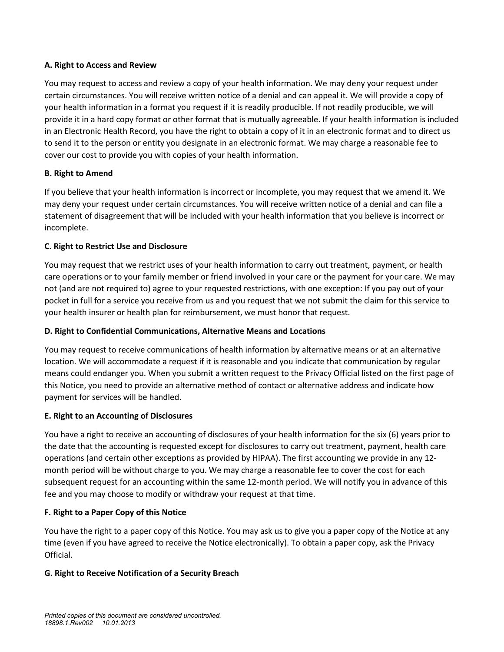### **A. Right to Access and Review**

You may request to access and review a copy of your health information. We may deny your request under certain circumstances. You will receive written notice of a denial and can appeal it. We will provide a copy of your health information in a format you request if it is readily producible. If not readily producible, we will provide it in a hard copy format or other format that is mutually agreeable. If your health information is included in an Electronic Health Record, you have the right to obtain a copy of it in an electronic format and to direct us to send it to the person or entity you designate in an electronic format. We may charge a reasonable fee to cover our cost to provide you with copies of your health information.

### **B. Right to Amend**

If you believe that your health information is incorrect or incomplete, you may request that we amend it. We may deny your request under certain circumstances. You will receive written notice of a denial and can file a statement of disagreement that will be included with your health information that you believe is incorrect or incomplete.

### **C. Right to Restrict Use and Disclosure**

You may request that we restrict uses of your health information to carry out treatment, payment, or health care operations or to your family member or friend involved in your care or the payment for your care. We may not (and are not required to) agree to your requested restrictions, with one exception: If you pay out of your pocket in full for a service you receive from us and you request that we not submit the claim for this service to your health insurer or health plan for reimbursement, we must honor that request.

### **D. Right to Confidential Communications, Alternative Means and Locations**

You may request to receive communications of health information by alternative means or at an alternative location. We will accommodate a request if it is reasonable and you indicate that communication by regular means could endanger you. When you submit a written request to the Privacy Official listed on the first page of this Notice, you need to provide an alternative method of contact or alternative address and indicate how payment for services will be handled.

### **E. Right to an Accounting of Disclosures**

You have a right to receive an accounting of disclosures of your health information for the six (6) years prior to the date that the accounting is requested except for disclosures to carry out treatment, payment, health care operations (and certain other exceptions as provided by HIPAA). The first accounting we provide in any 12 month period will be without charge to you. We may charge a reasonable fee to cover the cost for each subsequent request for an accounting within the same 12-month period. We will notify you in advance of this fee and you may choose to modify or withdraw your request at that time.

# **F. Right to a Paper Copy of this Notice**

You have the right to a paper copy of this Notice. You may ask us to give you a paper copy of the Notice at any time (even if you have agreed to receive the Notice electronically). To obtain a paper copy, ask the Privacy Official.

### **G. Right to Receive Notification of a Security Breach**